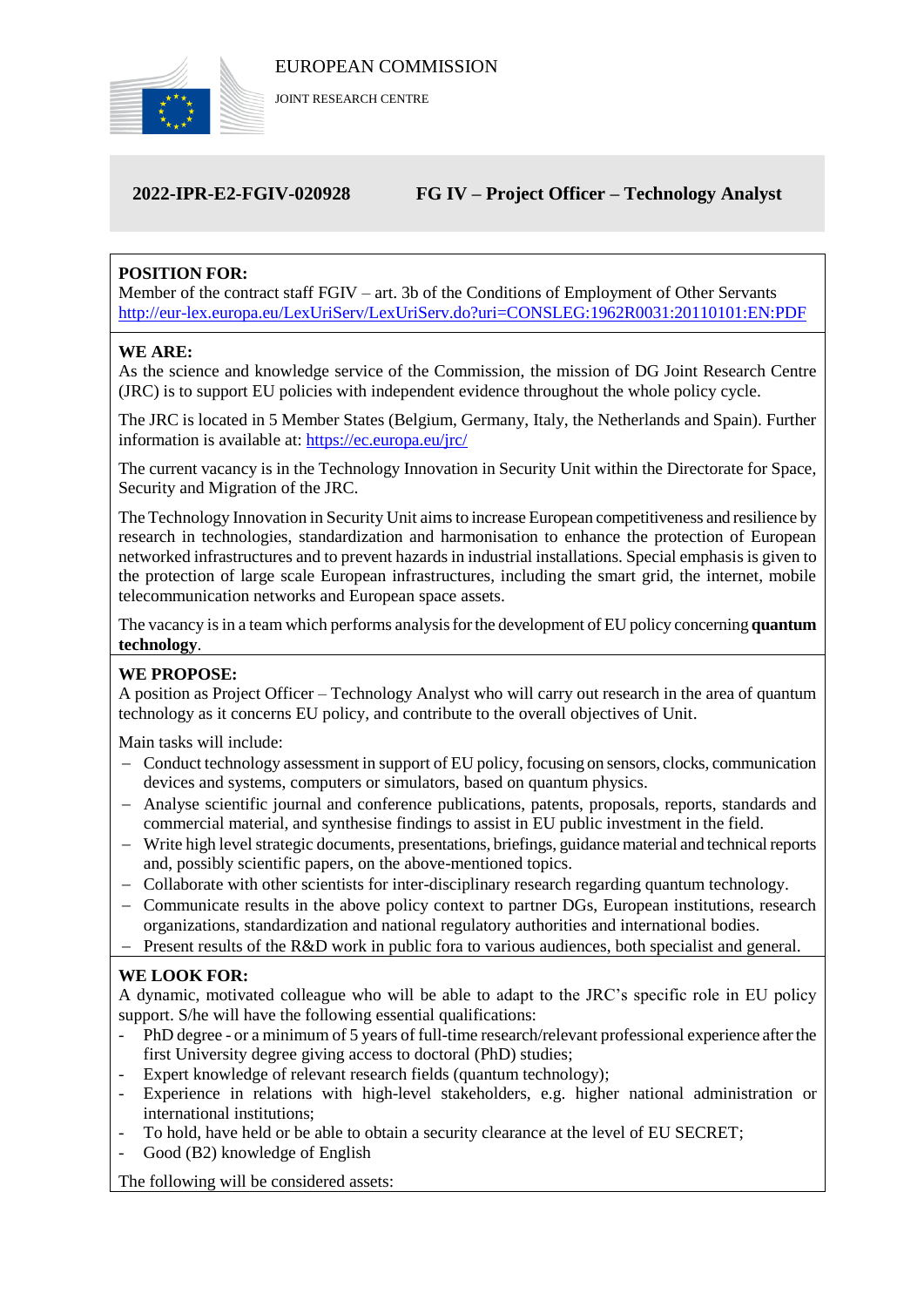

JOINT RESEARCH CENTRE

# **2022-IPR-E2-FGIV-020928 FG IV – Project Officer – Technology Analyst**

# **POSITION FOR:**

Member of the contract staff FGIV – art. 3b of the Conditions of Employment of Other Servants <http://eur-lex.europa.eu/LexUriServ/LexUriServ.do?uri=CONSLEG:1962R0031:20110101:EN:PDF>

#### **WE ARE:**

As the science and knowledge service of the Commission, the mission of DG Joint Research Centre (JRC) is to support EU policies with independent evidence throughout the whole policy cycle.

The JRC is located in 5 Member States (Belgium, Germany, Italy, the Netherlands and Spain). Further information is available at: <https://ec.europa.eu/jrc/>

The current vacancy is in the Technology Innovation in Security Unit within the Directorate for Space, Security and Migration of the JRC.

The Technology Innovation in Security Unit aims to increase European competitiveness and resilience by research in technologies, standardization and harmonisation to enhance the protection of European networked infrastructures and to prevent hazards in industrial installations. Special emphasis is given to the protection of large scale European infrastructures, including the smart grid, the internet, mobile telecommunication networks and European space assets.

The vacancy is in a team which performs analysis for the development of EU policy concerning **quantum technology**.

## **WE PROPOSE:**

A position as Project Officer – Technology Analyst who will carry out research in the area of quantum technology as it concerns EU policy, and contribute to the overall objectives of Unit.

Main tasks will include:

- Conduct technology assessment in support of EU policy, focusing on sensors, clocks, communication devices and systems, computers or simulators, based on quantum physics.
- Analyse scientific journal and conference publications, patents, proposals, reports, standards and commercial material, and synthesise findings to assist in EU public investment in the field.
- Write high level strategic documents, presentations, briefings, guidance material and technical reports and, possibly scientific papers, on the above-mentioned topics.
- Collaborate with other scientists for inter-disciplinary research regarding quantum technology.
- Communicate results in the above policy context to partner DGs, European institutions, research organizations, standardization and national regulatory authorities and international bodies.
- $P$  Present results of the R&D work in public fora to various audiences, both specialist and general.

## **WE LOOK FOR:**

A dynamic, motivated colleague who will be able to adapt to the JRC's specific role in EU policy support. S/he will have the following essential qualifications:

- PhD degree or a minimum of 5 years of full-time research/relevant professional experience after the first University degree giving access to doctoral (PhD) studies;
- Expert knowledge of relevant research fields (quantum technology);
- Experience in relations with high-level stakeholders, e.g. higher national administration or international institutions;
- To hold, have held or be able to obtain a security clearance at the level of EU SECRET;
- Good (B2) knowledge of English

The following will be considered assets: